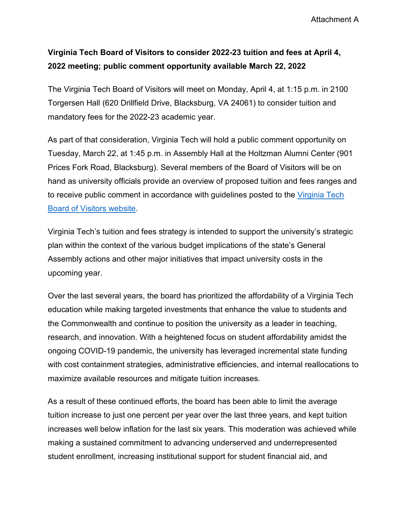Attachment A

## **Virginia Tech Board of Visitors to consider 2022-23 tuition and fees at April 4, 2022 meeting; public comment opportunity available March 22, 2022**

The Virginia Tech Board of Visitors will meet on Monday, April 4, at 1:15 p.m. in 2100 Torgersen Hall (620 Drillfield Drive, Blacksburg, VA 24061) to consider tuition and mandatory fees for the 2022-23 academic year.

As part of that consideration, Virginia Tech will hold a public comment opportunity on Tuesday, March 22, at 1:45 p.m. in Assembly Hall at the Holtzman Alumni Center (901 Prices Fork Road, Blacksburg). Several members of the Board of Visitors will be on hand as university officials provide an overview of proposed tuition and fees ranges and to receive public comment in accordance with guidelines posted to the [Virginia Tech](https://bov.vt.edu/)  [Board of Visitors website.](https://bov.vt.edu/)

Virginia Tech's tuition and fees strategy is intended to support the university's strategic plan within the context of the various budget implications of the state's General Assembly actions and other major initiatives that impact university costs in the upcoming year.

Over the last several years, the board has prioritized the affordability of a Virginia Tech education while making targeted investments that enhance the value to students and the Commonwealth and continue to position the university as a leader in teaching, research, and innovation. With a heightened focus on student affordability amidst the ongoing COVID-19 pandemic, the university has leveraged incremental state funding with cost containment strategies, administrative efficiencies, and internal reallocations to maximize available resources and mitigate tuition increases.

As a result of these continued efforts, the board has been able to limit the average tuition increase to just one percent per year over the last three years, and kept tuition increases well below inflation for the last six years. This moderation was achieved while making a sustained commitment to advancing underserved and underrepresented student enrollment, increasing institutional support for student financial aid, and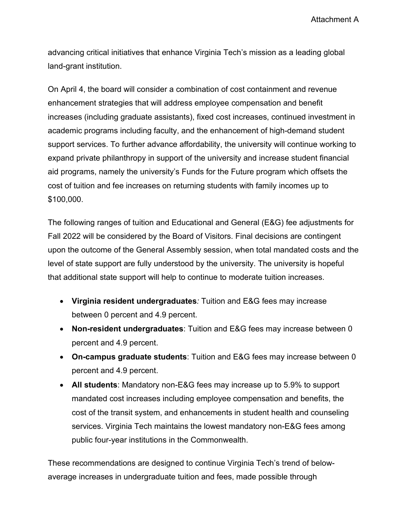Attachment A

advancing critical initiatives that enhance Virginia Tech's mission as a leading global land-grant institution.

On April 4, the board will consider a combination of cost containment and revenue enhancement strategies that will address employee compensation and benefit increases (including graduate assistants), fixed cost increases, continued investment in academic programs including faculty, and the enhancement of high-demand student support services. To further advance affordability, the university will continue working to expand private philanthropy in support of the university and increase student financial aid programs, namely the university's Funds for the Future program which offsets the cost of tuition and fee increases on returning students with family incomes up to \$100,000.

The following ranges of tuition and Educational and General (E&G) fee adjustments for Fall 2022 will be considered by the Board of Visitors. Final decisions are contingent upon the outcome of the General Assembly session, when total mandated costs and the level of state support are fully understood by the university. The university is hopeful that additional state support will help to continue to moderate tuition increases.

- **Virginia resident undergraduates***:* Tuition and E&G fees may increase between 0 percent and 4.9 percent.
- **Non-resident undergraduates**: Tuition and E&G fees may increase between 0 percent and 4.9 percent.
- **On-campus graduate students**: Tuition and E&G fees may increase between 0 percent and 4.9 percent.
- **All students**: Mandatory non-E&G fees may increase up to 5.9% to support mandated cost increases including employee compensation and benefits, the cost of the transit system, and enhancements in student health and counseling services. Virginia Tech maintains the lowest mandatory non-E&G fees among public four-year institutions in the Commonwealth.

These recommendations are designed to continue Virginia Tech's trend of belowaverage increases in undergraduate tuition and fees, made possible through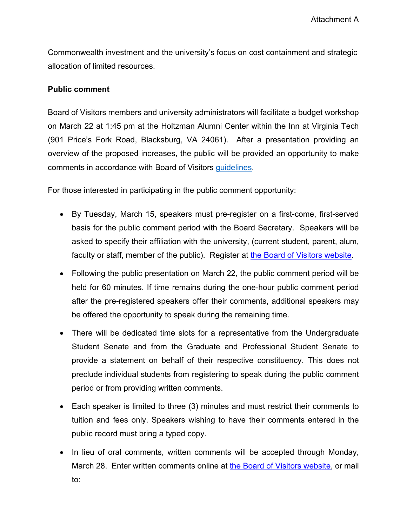Commonwealth investment and the university's focus on cost containment and strategic allocation of limited resources.

## **Public comment**

Board of Visitors members and university administrators will facilitate a budget workshop on March 22 at 1:45 pm at the Holtzman Alumni Center within the Inn at Virginia Tech (901 Price's Fork Road, Blacksburg, VA 24061). After a presentation providing an overview of the proposed increases, the public will be provided an opportunity to make comments in accordance with Board of Visitors [guidelines.](https://bov.vt.edu/assets/Guidelines%20updated%201-21-2022%20for%20public%20comment.pdf)

For those interested in participating in the public comment opportunity:

- By Tuesday, March 15, speakers must pre-register on a first-come, first-served basis for the public comment period with the Board Secretary. Speakers will be asked to specify their affiliation with the university, (current student, parent, alum, faculty or staff, member of the public). Register at [the Board of Visitors website.](https://bov.vt.edu/)
- Following the public presentation on March 22, the public comment period will be held for 60 minutes. If time remains during the one-hour public comment period after the pre-registered speakers offer their comments, additional speakers may be offered the opportunity to speak during the remaining time.
- There will be dedicated time slots for a representative from the Undergraduate Student Senate and from the Graduate and Professional Student Senate to provide a statement on behalf of their respective constituency. This does not preclude individual students from registering to speak during the public comment period or from providing written comments.
- Each speaker is limited to three (3) minutes and must restrict their comments to tuition and fees only. Speakers wishing to have their comments entered in the public record must bring a typed copy.
- In lieu of oral comments, written comments will be accepted through Monday, March 28. Enter written comments online at [the Board of Visitors website,](https://bov.vt.edu/) or mail to: